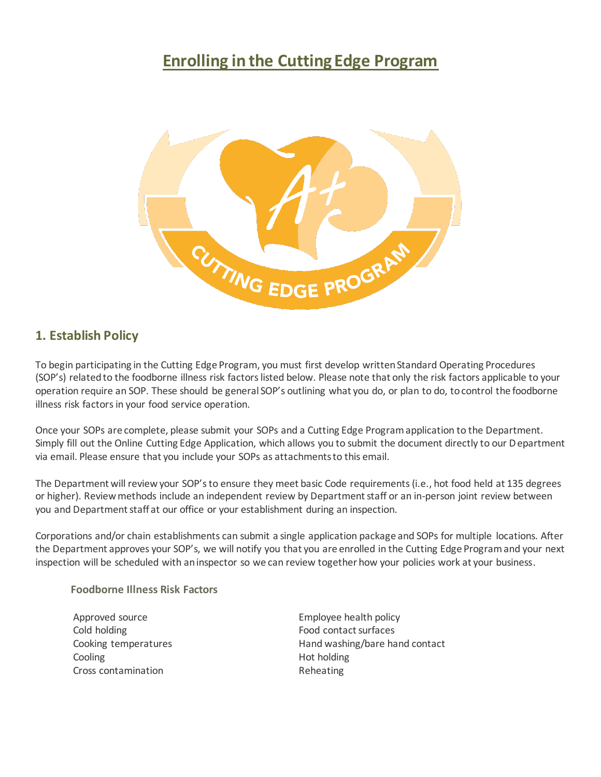# **Enrolling in the Cutting Edge Program**



#### **1. Establish Policy**

To begin participating in the Cutting Edge Program, you must first develop written Standard Operating Procedures (SOP's) related to the foodborne illness risk factors listed below. Please note that only the risk factors applicable to your operation require an SOP. These should be general SOP's outlining what you do, or plan to do, to control the foodborne illness risk factors in your food service operation.

Once your SOPs are complete, please submit your SOPs and a Cutting Edge Program application to the Department. Simply fill out the Online Cutting Edge Application, which allows you to submit the document directly to our Department via email. Please ensure that you include your SOPs as attachments to this email.

The Department will review your SOP's to ensure they meet basic Code requirements (i.e., hot food held at 135 degrees or higher). Review methods include an independent review by Department staff or an in-person joint review between you and Department staff at our office or your establishment during an inspection.

Corporations and/or chain establishments can submit a single application package and SOPs for multiple locations. After the Department approves your SOP's, we will notify you that you are enrolled in the Cutting Edge Program and your next inspection will be scheduled with an inspector so we can review together how your policies work at your business.

#### **Foodborne Illness Risk Factors**

Cold holding The Cold holding The Cold holding The Cold holding The Food contact surfaces Cooling **Hot holding Hot holding** Cross contamination **Reheating** 

Approved source **Employee** health policy Cooking temperatures Theorem Hand washing/bare hand contact